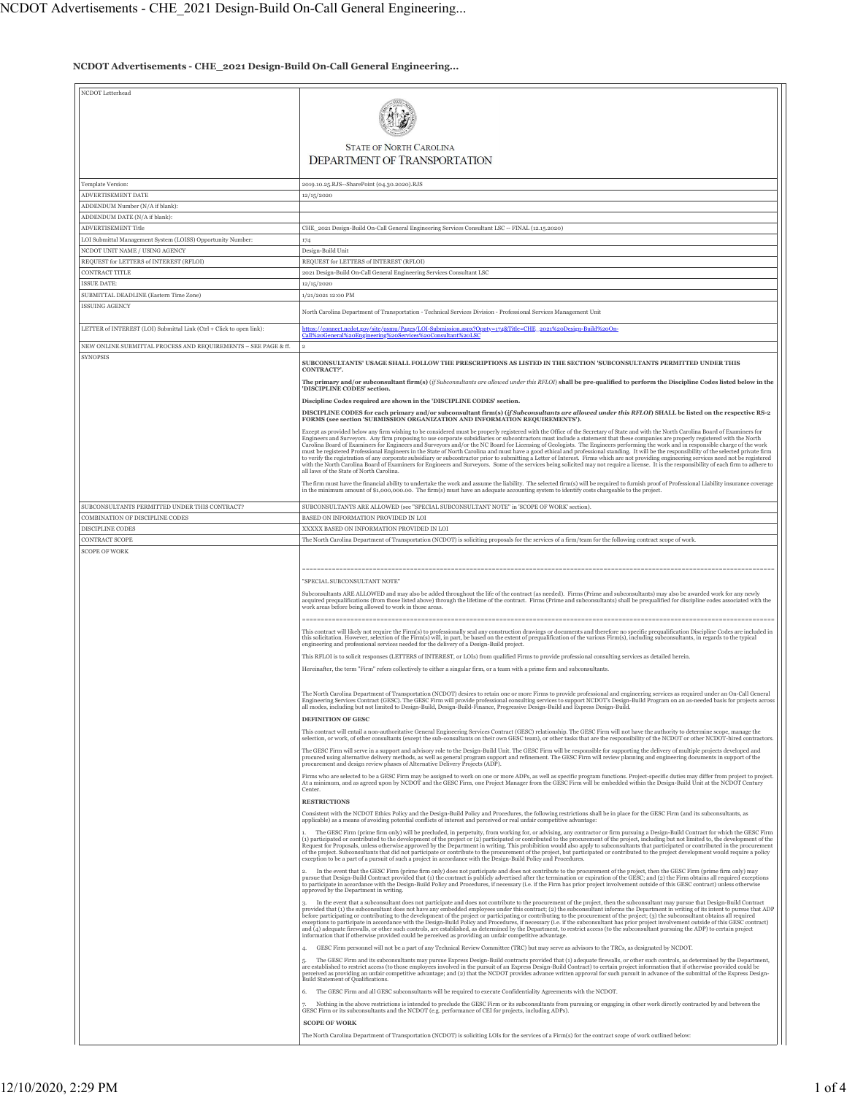**NCDOT Advertisements - CHE\_2021 Design-Build On-Call General Engineering...**

| NCDOT Letterhead                                                                          |                                                                                                                                                                                                                                                                                                                                                                                                                                                                                                                                                                                                                                                                                                                                                                                                                                                                                                                                                                                                                                                                  |
|-------------------------------------------------------------------------------------------|------------------------------------------------------------------------------------------------------------------------------------------------------------------------------------------------------------------------------------------------------------------------------------------------------------------------------------------------------------------------------------------------------------------------------------------------------------------------------------------------------------------------------------------------------------------------------------------------------------------------------------------------------------------------------------------------------------------------------------------------------------------------------------------------------------------------------------------------------------------------------------------------------------------------------------------------------------------------------------------------------------------------------------------------------------------|
|                                                                                           |                                                                                                                                                                                                                                                                                                                                                                                                                                                                                                                                                                                                                                                                                                                                                                                                                                                                                                                                                                                                                                                                  |
|                                                                                           | <b>STATE OF NORTH CAROLINA</b><br><b>DEPARTMENT OF TRANSPORTATION</b>                                                                                                                                                                                                                                                                                                                                                                                                                                                                                                                                                                                                                                                                                                                                                                                                                                                                                                                                                                                            |
|                                                                                           |                                                                                                                                                                                                                                                                                                                                                                                                                                                                                                                                                                                                                                                                                                                                                                                                                                                                                                                                                                                                                                                                  |
| Template Version:                                                                         | 2019.10.25.RJS--SharePoint (04.30.2020).RJS                                                                                                                                                                                                                                                                                                                                                                                                                                                                                                                                                                                                                                                                                                                                                                                                                                                                                                                                                                                                                      |
| ADVERTISEMENT DATE<br>ADDENDUM Number (N/A if blank):                                     | 12/15/2020                                                                                                                                                                                                                                                                                                                                                                                                                                                                                                                                                                                                                                                                                                                                                                                                                                                                                                                                                                                                                                                       |
| ADDENDUM DATE (N/A if blank):                                                             |                                                                                                                                                                                                                                                                                                                                                                                                                                                                                                                                                                                                                                                                                                                                                                                                                                                                                                                                                                                                                                                                  |
| <b>ADVERTISEMENT Title</b><br>LOI Submittal Management System (LOISS) Opportunity Number: | CHE_2021 Design-Build On-Call General Engineering Services Consultant LSC -- FINAL (12.15.2020)<br>174                                                                                                                                                                                                                                                                                                                                                                                                                                                                                                                                                                                                                                                                                                                                                                                                                                                                                                                                                           |
| NCDOT UNIT NAME / USING AGENCY                                                            | Design-Build Unit                                                                                                                                                                                                                                                                                                                                                                                                                                                                                                                                                                                                                                                                                                                                                                                                                                                                                                                                                                                                                                                |
| REQUEST for LETTERS of INTEREST (RFLOI)                                                   | REQUEST for LETTERS of INTEREST (RFLOI)                                                                                                                                                                                                                                                                                                                                                                                                                                                                                                                                                                                                                                                                                                                                                                                                                                                                                                                                                                                                                          |
| CONTRACT TITLE<br><b>ISSUE DATE:</b>                                                      | 2021 Design-Build On-Call General Engineering Services Consultant LSC<br>12/15/2020                                                                                                                                                                                                                                                                                                                                                                                                                                                                                                                                                                                                                                                                                                                                                                                                                                                                                                                                                                              |
| SUBMITTAL DEADLINE (Eastern Time Zone)                                                    | 1/21/2021 12:00 PM                                                                                                                                                                                                                                                                                                                                                                                                                                                                                                                                                                                                                                                                                                                                                                                                                                                                                                                                                                                                                                               |
| <b>ISSUING AGENCY</b>                                                                     | North Carolina Department of Transportation - Technical Services Division - Professional Services Management Unit                                                                                                                                                                                                                                                                                                                                                                                                                                                                                                                                                                                                                                                                                                                                                                                                                                                                                                                                                |
| LETTER of INTEREST (LOI) Submittal Link (Ctrl + Click to open link):                      | https://connect.ncdot.gov/site/psmu/Pages/LOI-Submission.aspx?Oppty=174&Title=CHE_2021%20Design-Build%20On-<br>Call%20General%20Engineering%20Services%20Consultant%20LSC                                                                                                                                                                                                                                                                                                                                                                                                                                                                                                                                                                                                                                                                                                                                                                                                                                                                                        |
| NEW ONLINE SUBMITTAL PROCESS AND REQUIREMENTS - SEE PAGE & ff.                            |                                                                                                                                                                                                                                                                                                                                                                                                                                                                                                                                                                                                                                                                                                                                                                                                                                                                                                                                                                                                                                                                  |
| <b>SYNOPSIS</b>                                                                           | SUBCONSULTANTS' USAGE SHALL FOLLOW THE PRESCRIPTIONS AS LISTED IN THE SECTION 'SUBCONSULTANTS PERMITTED UNDER THIS<br>CONTRACT?'                                                                                                                                                                                                                                                                                                                                                                                                                                                                                                                                                                                                                                                                                                                                                                                                                                                                                                                                 |
|                                                                                           | The primary and/or subconsultant firm(s) (if Subconsultants are allowed under this RFLOI) shall be pre-qualified to perform the Discipline Codes listed below in the<br>'DISCIPLINE CODES' section.<br>Discipline Codes required are shown in the 'DISCIPLINE CODES' section.                                                                                                                                                                                                                                                                                                                                                                                                                                                                                                                                                                                                                                                                                                                                                                                    |
|                                                                                           | DISCIPLINE CODES for each primary and/or subconsultant firm(s) (if Subconsultants are allowed under this RFLOI) SHALL be listed on the respective RS-2                                                                                                                                                                                                                                                                                                                                                                                                                                                                                                                                                                                                                                                                                                                                                                                                                                                                                                           |
|                                                                                           | FORMS (see section 'SUBMISSION ORGANIZATION AND INFORMATION REQUIREMENTS').<br>Except as provided below any firm wishing to be considered must be properly registered with the Office of the Secretary of State and with the North Carolina Board of Examiners for                                                                                                                                                                                                                                                                                                                                                                                                                                                                                                                                                                                                                                                                                                                                                                                               |
|                                                                                           | Engineers and Surveyors. Any firm proposing to use corporate subsidiaries or subcontractors must include a statement that these companies are properly registered with the North<br>Carolina Board of Examiners for Engineers and Surveyors and/or the NC Board for Licensing of Geologists. The Engineers performing the work and in responsible charge of the work<br>must be registered Professional Engineers in the State of North Carolina and must have a good ethical and professional standing. It will be the responsibility of the selected private firm<br>to verify the registration of any corporate subsidiary or subcontractor prior to submitting a Letter of Interest. Firms which are not providing engineering services need not be registered<br>with the North Carolina Board of Examiners for Engineers and Surveyors. Some of the services being solicited may not require a license. It is the responsibility of each firm to adhere to<br>all laws of the State of North Carolina                                                      |
|                                                                                           | The firm must have the financial ability to undertake the work and assume the liability. The selected firm(s) will be required to furnish proof of Professional Liability insurance coverage<br>in the minimum amount of \$1,000,000.00. The firm(s) must have an adequate accounting system to identify costs chargeable to the project.                                                                                                                                                                                                                                                                                                                                                                                                                                                                                                                                                                                                                                                                                                                        |
| SUBCONSULTANTS PERMITTED UNDER THIS CONTRACT?                                             | SUBCONSULTANTS ARE ALLOWED (see "SPECIAL SUBCONSULTANT NOTE" in 'SCOPE OF WORK' section).                                                                                                                                                                                                                                                                                                                                                                                                                                                                                                                                                                                                                                                                                                                                                                                                                                                                                                                                                                        |
| COMBINATION OF DISCIPLINE CODES<br><b>DISCIPLINE CODES</b>                                | BASED ON INFORMATION PROVIDED IN LOI<br>XXXXX BASED ON INFORMATION PROVIDED IN LOI                                                                                                                                                                                                                                                                                                                                                                                                                                                                                                                                                                                                                                                                                                                                                                                                                                                                                                                                                                               |
| CONTRACT SCOPE                                                                            | The North Carolina Department of Transportation (NCDOT) is soliciting proposals for the services of a firm/team for the following contract scope of work.                                                                                                                                                                                                                                                                                                                                                                                                                                                                                                                                                                                                                                                                                                                                                                                                                                                                                                        |
| <b>SCOPE OF WORK</b>                                                                      | "SPECIAL SUBCONSULTANT NOTE"                                                                                                                                                                                                                                                                                                                                                                                                                                                                                                                                                                                                                                                                                                                                                                                                                                                                                                                                                                                                                                     |
|                                                                                           | Subconsultants ARE ALLOWED and may also be added throughout the life of the contract (as needed). Firms (Prime and subconsultants) may also be awarded work for any newly<br>acquired prequalifications (from those listed above) through the lifetime of the contract. Firms (Prime and subconsultants) shall be prequalified for discipline codes associated with the<br>work areas before being allowed to work in those areas.                                                                                                                                                                                                                                                                                                                                                                                                                                                                                                                                                                                                                               |
|                                                                                           | This contract will likely not require the Firm(s) to professionally seal any construction drawings or documents and therefore no specific prequalification Discipline Codes are included in<br>this solicitation. However, selection of the Firm(s) will, in part, be based on the extent of prequalification of the various Firm(s), including subconsultants, in regards to the typical<br>engineering and professional services needed for the delivery of a Design-Build project.                                                                                                                                                                                                                                                                                                                                                                                                                                                                                                                                                                            |
|                                                                                           | This RFLOI is to solicit responses (LETTERS of INTEREST, or LOIs) from qualified Firms to provide professional consulting services as detailed herein.<br>Hereinafter, the term "Firm" refers collectively to either a singular firm, or a team with a prime firm and subconsultants.                                                                                                                                                                                                                                                                                                                                                                                                                                                                                                                                                                                                                                                                                                                                                                            |
|                                                                                           | The North Carolina Department of Transportation (NCDOT) desires to retain one or more Firms to provide professional and engineering services as required under an On-Call General<br>Engineering Services Contract (GESC). The GESC Firm will provide professional consulting services to support NCDOT's Design-Build Program on an as-needed basis for projects across<br>all modes, including but not limited to Design-Build, Design-Build-Finance, Progressive Design-Build and Express Design-Build.<br>DEFINITION OF GESC                                                                                                                                                                                                                                                                                                                                                                                                                                                                                                                                 |
|                                                                                           | This contract will entail a non-authoritative General Engineering Services Contract (GESC) relationship. The GESC Firm will not have the authority to determine scope, manage the<br>selection, or work, of other consultants (except the sub-consultants on their own GESC team), or other tasks that are the responsibility of the NCDOT or other NCDOT-hired contractors.                                                                                                                                                                                                                                                                                                                                                                                                                                                                                                                                                                                                                                                                                     |
|                                                                                           | The GESC Firm will serve in a support and advisory role to the Design-Build Unit. The GESC Firm will be responsible for supporting the delivery of multiple projects developed and<br>procured using alternative delivery methods, as well as general program support and refinement. The GESC Firm will review planning and engineering documents in support of the<br>procurement and design review phases of Alternative Delivery Projects (ADP).                                                                                                                                                                                                                                                                                                                                                                                                                                                                                                                                                                                                             |
|                                                                                           | Firms who are selected to be a GESC Firm may be assigned to work on one or more ADPs, as well as specific program functions. Project-specific duties may differ from project to project.<br>At a minimum, and as agreed upon by NCDOT and the GESC Firm, one Project Manager from the GESC Firm will be embedded within the Design-Build Unit at the NCDOT Century<br>Center.                                                                                                                                                                                                                                                                                                                                                                                                                                                                                                                                                                                                                                                                                    |
|                                                                                           | <b>RESTRICTIONS</b><br>Consistent with the NCDOT Ethics Policy and the Design-Build Policy and Procedures, the following restrictions shall be in place for the GESC Firm (and its subconsultants, as                                                                                                                                                                                                                                                                                                                                                                                                                                                                                                                                                                                                                                                                                                                                                                                                                                                            |
|                                                                                           | applicable) as a means of avoiding potential conflicts of interest and perceived or real unfair competitive advantage:                                                                                                                                                                                                                                                                                                                                                                                                                                                                                                                                                                                                                                                                                                                                                                                                                                                                                                                                           |
|                                                                                           | The GESC Firm (prime firm only) will be precluded, in perpetuity, from working for, or advising, any contractor or firm pursuing a Design-Build Contract for which the GESC Firm<br>(1) participated or contributed to the development of the project or (2) participated or contributed to the procurement of the project, including but not limited to, the development of the<br>Request for Proposals, unless otherwise approved by the Department in writing. This prohibition would also apply to subconsultants that participated or contributed in the procurement<br>of the project. Subconsultants that did not participate or contribute to the procurement of the project, but participated or contributed to the project development would require a policy<br>exception to be a part of a pursuit of such a project in accordance with the Design-Build Policy and Procedures.                                                                                                                                                                     |
|                                                                                           | In the event that the GESC Firm (prime firm only) does not participate and does not contribute to the procurement of the project, then the GESC Firm (prime firm only) may<br>pursue that Design-Build Contract provided that (1) the contract is publicly advertised after the termination or expiration of the GESC; and (2) the Firm obtains all required exceptions<br>to participate in accordance with the Design-Build Policy and Procedures, if necessary (i.e. if the Firm has prior project involvement outside of this GESC contract) unless otherwise<br>approved by the Department in writing.                                                                                                                                                                                                                                                                                                                                                                                                                                                      |
|                                                                                           | In the event that a subconsultant does not participate and does not contribute to the procurement of the project, then the subconsultant may pursue that Design-Build Contract<br>provided that (1) the subconsultant does not have any embedded employees under this contract; (2) the subconsultant informs the Department in writing of its intent to pursue that ADP<br>before participating or contributing to the development of the project or participating or contributing to the procurement of the project; (3) the subconsultant obtains all required<br>exceptions to participate in accordance with the Design-Build Policy and Procedures, if necessary (i.e. if the subconsultant has prior project involvement outside of this GESC contract)<br>and (4) adequate firewalls, or other such controls, are established, as determined by the Department, to restrict access (to the subconsultant pursuing the ADP) to certain project<br>information that if otherwise provided could be perceived as providing an unfair competitive advantage. |
|                                                                                           | GESC Firm personnel will not be a part of any Technical Review Committee (TRC) but may serve as advisors to the TRCs, as designated by NCDOT.<br>4.<br>The GESC Firm and its subconsultants may pursue Express Design-Build contracts provided that (1) adequate firewalls, or other such controls, as determined by the Department,<br>are established to restrict access (to those employees involved in the pursuit of an Express Design-Build Contract) to certain project information that if otherwise provided could be<br>perceived as providing an unfair competitive advantage; and (2) that the NCDOT provides advance written approval for such pursuit in advance of the submittal of the Express Design-<br>Build Statement of Qualifications.                                                                                                                                                                                                                                                                                                     |
|                                                                                           | The GESC Firm and all GESC subconsultants will be required to execute Confidentiality Agreements with the NCDOT.<br>6.<br>Nothing in the above restrictions is intended to preclude the GESC Firm or its subconsultants from pursuing or engaging in other work directly contracted by and between the<br>GESC Firm or its subconsultants and the NCDOT (e.g. performance of CEI for projects, including ADPs).                                                                                                                                                                                                                                                                                                                                                                                                                                                                                                                                                                                                                                                  |
|                                                                                           | <b>SCOPE OF WORK</b><br>The North Carolina Department of Transportation (NCDOT) is soliciting LOIs for the services of a Firm(s) for the contract scope of work outlined below:                                                                                                                                                                                                                                                                                                                                                                                                                                                                                                                                                                                                                                                                                                                                                                                                                                                                                  |
|                                                                                           |                                                                                                                                                                                                                                                                                                                                                                                                                                                                                                                                                                                                                                                                                                                                                                                                                                                                                                                                                                                                                                                                  |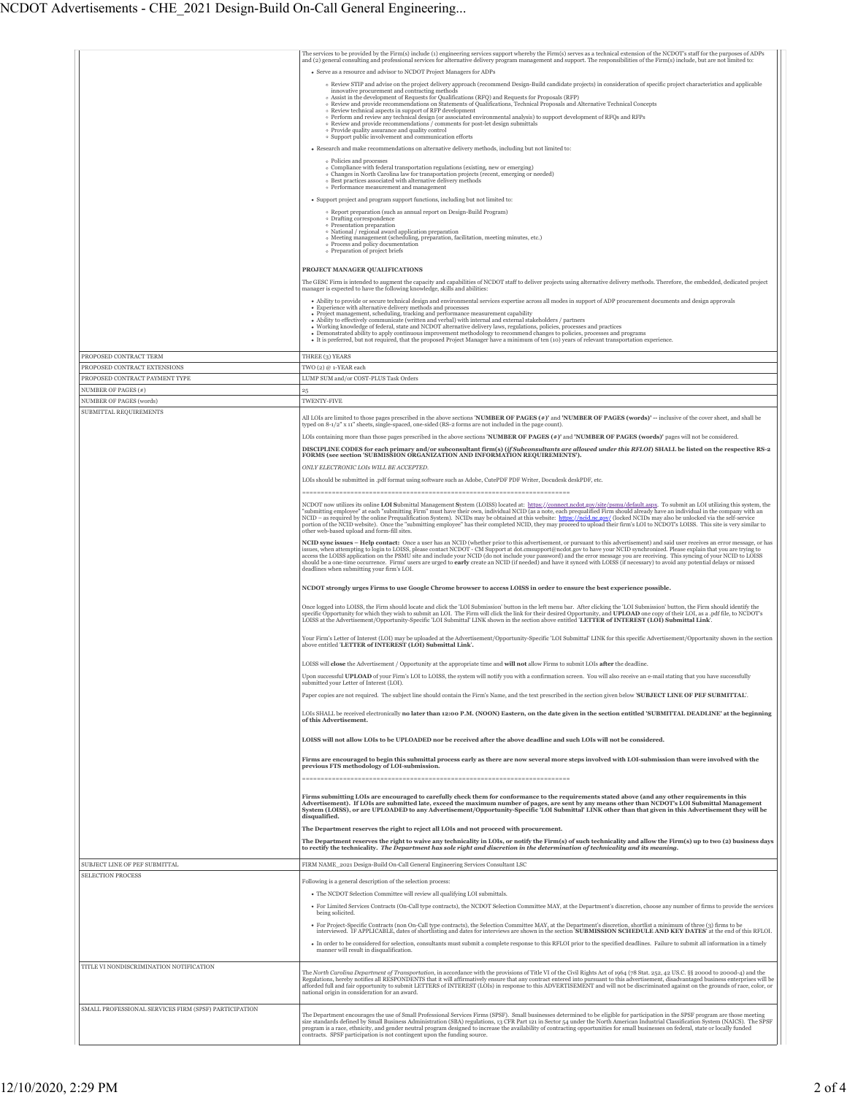|                                                       | The services to be provided by the Firm(s) include (1) engineering services support whereby the Firm(s) serves as a technical extension of the NCDOT's staff for the purposes of ADPs<br>and (2) general consulting and professional services for alternative delivery program management and support. The responsibilities of the Firm(s) include, but are not limited to:<br>• Serve as a resource and advisor to NCDOT Project Managers for ADPs<br>o Review STIP and advise on the project delivery approach (recommend Design-Build candidate projects) in consideration of specific project characteristics and applicable<br>innovative procurement and contracting methods<br>o Assist in the development of Requests for Qualifications (RFQ) and Requests for Proposals (RFP)<br>o Review and provide recommendations on Statements of Qualifications, Technical Proposals and Alternative Technical Concepts<br>o Review technical aspects in support of RFP development<br>o Perform and review any technical design (or associated environmental analysis) to support development of RFOs and RFPs<br>· Review and provide recommendations / comments for post-let design submittals<br>· Provide quality assurance and quality control<br>· Support public involvement and communication efforts<br>• Research and make recommendations on alternative delivery methods, including but not limited to:<br>• Policies and processes<br>$\circ$ Compliance with federal transportation regulations (existing, new or emerging)<br>o Changes in North Carolina law for transportation projects (recent, emerging or needed)<br>· Best practices associated with alternative delivery methods<br>· Performance measurement and management<br>· Support project and program support functions, including but not limited to:<br>· Report preparation (such as annual report on Design-Build Program)<br>o Drafting correspondence<br>o Presentation preparation<br>$\circ$ National / regional award application preparation $\circ$ Meeting management (scheduling, preparation, facilitation, meeting minutes, etc.)                                                                                                                                                                                                                                                                                                                                                                                                                                                                                                                                                                                                                                                                                                                                                                                                                                                                                                                                                                                                                                                                                                                                                                                                                                                                                                                                                                                                                                                                                                                                                                                                                                                                                                                                                                                                                                                                                                                                                                                                                                                                                                                                                                                                                                                                                                                                                                                                                                                                                                                                                                                                                                                                                                                                                                 |
|-------------------------------------------------------|-------------------------------------------------------------------------------------------------------------------------------------------------------------------------------------------------------------------------------------------------------------------------------------------------------------------------------------------------------------------------------------------------------------------------------------------------------------------------------------------------------------------------------------------------------------------------------------------------------------------------------------------------------------------------------------------------------------------------------------------------------------------------------------------------------------------------------------------------------------------------------------------------------------------------------------------------------------------------------------------------------------------------------------------------------------------------------------------------------------------------------------------------------------------------------------------------------------------------------------------------------------------------------------------------------------------------------------------------------------------------------------------------------------------------------------------------------------------------------------------------------------------------------------------------------------------------------------------------------------------------------------------------------------------------------------------------------------------------------------------------------------------------------------------------------------------------------------------------------------------------------------------------------------------------------------------------------------------------------------------------------------------------------------------------------------------------------------------------------------------------------------------------------------------------------------------------------------------------------------------------------------------------------------------------------------------------------------------------------------------------------------------------------------------------------------------------------------------------------------------------------------------------------------------------------------------------------------------------------------------------------------------------------------------------------------------------------------------------------------------------------------------------------------------------------------------------------------------------------------------------------------------------------------------------------------------------------------------------------------------------------------------------------------------------------------------------------------------------------------------------------------------------------------------------------------------------------------------------------------------------------------------------------------------------------------------------------------------------------------------------------------------------------------------------------------------------------------------------------------------------------------------------------------------------------------------------------------------------------------------------------------------------------------------------------------------------------------------------------------------------------------------------------------------------------------------------------------------------------------------------------------------------------------------------------------------------------------------------------------------------------------------------------------------------------------------------------------------------------------------------------------------------------------------------------------------------------------------------------------------------------------------------------------------------------------------------------------------------------------------------------------------------------------------------------------------------------------------------------------------------------------------------------------------------------------------------------------------------------------------------------------------------------------------------------------------------------------------------------------------------------------------------------------------------------------------------------------------------------------------------------------------------|
| PROPOSED CONTRACT TERM                                | · Process and policy documentation<br>o Preparation of project briefs<br>PROJECT MANAGER QUALIFICATIONS<br>The GESC Firm is intended to augment the capacity and capabilities of NCDOT staff to deliver projects using alternative delivery methods. Therefore, the embedded, dedicated project<br>manager is expected to have the following knowledge, skills and abilities:<br>· Ability to provide or secure technical design and environmental services expertise across all modes in support of ADP procurement documents and design approvals<br>• Experience with alternative delivery methods and processes<br>· Project management, scheduling, tracking and performance measurement capability<br>• Ability to effectively communicate (written and verbal) with internal and external stakeholders / partners<br>· Working knowledge of federal, state and NCDOT alternative delivery laws, regulations, policies, processes and practices<br>• Demonstrated ability to apply continuous improvement methodology to recommend changes to policies, processes and programs<br>• It is preferred, but not required, that the proposed Project Manager have a minimum of ten (10) years of relevant transportation experience.<br>THREE (3) YEARS                                                                                                                                                                                                                                                                                                                                                                                                                                                                                                                                                                                                                                                                                                                                                                                                                                                                                                                                                                                                                                                                                                                                                                                                                                                                                                                                                                                                                                                                                                                                                                                                                                                                                                                                                                                                                                                                                                                                                                                                                                                                                                                                                                                                                                                                                                                                                                                                                                                                                                                                                                                                                                                                                                                                                                                                                                                                                                                                                                                                                                                                                                                                                                                                                                                                                                                                                                                                                                                                                                                                                                                                                                       |
| PROPOSED CONTRACT EXTENSIONS                          | TWO (2) @ 1-YEAR each                                                                                                                                                                                                                                                                                                                                                                                                                                                                                                                                                                                                                                                                                                                                                                                                                                                                                                                                                                                                                                                                                                                                                                                                                                                                                                                                                                                                                                                                                                                                                                                                                                                                                                                                                                                                                                                                                                                                                                                                                                                                                                                                                                                                                                                                                                                                                                                                                                                                                                                                                                                                                                                                                                                                                                                                                                                                                                                                                                                                                                                                                                                                                                                                                                                                                                                                                                                                                                                                                                                                                                                                                                                                                                                                                                                                                                                                                                                                                                                                                                                                                                                                                                                                                                                                                                                                                                                                                                                                                                                                                                                                                                                                                                                                                                                                                                                                           |
| PROPOSED CONTRACT PAYMENT TYPE<br>NUMBER OF PAGES (#) | LUMP SUM and/or COST-PLUS Task Orders<br>$\bf 25$                                                                                                                                                                                                                                                                                                                                                                                                                                                                                                                                                                                                                                                                                                                                                                                                                                                                                                                                                                                                                                                                                                                                                                                                                                                                                                                                                                                                                                                                                                                                                                                                                                                                                                                                                                                                                                                                                                                                                                                                                                                                                                                                                                                                                                                                                                                                                                                                                                                                                                                                                                                                                                                                                                                                                                                                                                                                                                                                                                                                                                                                                                                                                                                                                                                                                                                                                                                                                                                                                                                                                                                                                                                                                                                                                                                                                                                                                                                                                                                                                                                                                                                                                                                                                                                                                                                                                                                                                                                                                                                                                                                                                                                                                                                                                                                                                                               |
| <b>NUMBER OF PAGES (words)</b>                        | TWENTY-FIVE                                                                                                                                                                                                                                                                                                                                                                                                                                                                                                                                                                                                                                                                                                                                                                                                                                                                                                                                                                                                                                                                                                                                                                                                                                                                                                                                                                                                                                                                                                                                                                                                                                                                                                                                                                                                                                                                                                                                                                                                                                                                                                                                                                                                                                                                                                                                                                                                                                                                                                                                                                                                                                                                                                                                                                                                                                                                                                                                                                                                                                                                                                                                                                                                                                                                                                                                                                                                                                                                                                                                                                                                                                                                                                                                                                                                                                                                                                                                                                                                                                                                                                                                                                                                                                                                                                                                                                                                                                                                                                                                                                                                                                                                                                                                                                                                                                                                                     |
|                                                       | All LOIs are limited to those pages prescribed in the above sections 'NUMBER OF PAGES (#)' and 'NUMBER OF PAGES (words)' -- inclusive of the cover sheet, and shall be<br>typed on 8-1/2" x 11" sheets, single-spaced, one-sided (RS-2 forms are not included in the page count).<br>LOIs containing more than those pages prescribed in the above sections 'NUMBER OF PAGES (#)' and 'NUMBER OF PAGES (words)' pages will not be considered.<br>DISCIPLINE CODES for each primary and/or subconsultant firm(s) (if Subconsultants are allowed under this RFLOI) SHALL be listed on the respective RS-2<br>FORMS (see section 'SUBMISSION ORGANIZATION AND INFORMATION REQUIREMENTS').<br>ONLY ELECTRONIC LOIS WILL BE ACCEPTED.<br>LOIs should be submitted in .pdf format using software such as Adobe, CutePDF PDF Writer, Docudesk deskPDF, etc.<br>NCDOT now utilizes its online LOI Submittal Management System (LOISS) located at: https://connect.ncdot.gov/site/psmu/default.aspx. To submit an LOI utilizing this system, the<br>"submitting employee" at each "submitting Firm" must have their own, individual NCID (as a note, each prequalified Firm should already have an individual in the company with an<br>NCID - as required by the online Prequalification System). NCIDs may be obtained at this website: https://ncid.nc.gov/ (locked NCIDs may also be unlocked va the self-service<br>portion of the NCID website). Once the "submitti<br>other web-based upload and form-fill sites.<br>NCID sync issues - Help contact: Once a user has an NCID (whether prior to this advertisement, or pursuant to this advertisement) and said user receives an error message, or has issues, when attempting to login to LOISS, p<br>access the LOISS application on the PSMU site and include your NCID (do not include your password) and the error message you are receiving. This syncing of your NCID to LOISS<br>should be a one-time occurrence. Firms' users are urged to early create an NCID (if needed) and have it synced with LOISS (if necessary) to avoid any potential delays or missed<br>deadlines when submitting your firm's LOI.<br>NCDOT strongly urges Firms to use Google Chrome browser to access LOISS in order to ensure the best experience possible.<br>Once logged into LOISS, the Firm should locate and click the 'LOI Submission' button in the left menu bar. After clicking the 'LOI Submission' button, the Firm should identify the specific Opportunity for which they wish t<br>LOISS at the Advertisement/Opportunity-Specific 'LOI Submittal' LINK shown in the section above entitled 'LETTER of INTEREST (LOI) Submittal Link.<br>Your Firm's Letter of Interest (LOI) may be uploaded at the Advertisement/Opportunity-Specific 'LOI Submittal' LINK for this specific Advertisement/Opportunity shown in the section above entitled 'LETTER of INTEREST (LOI)<br>LOISS will close the Advertisement / Opportunity at the appropriate time and will not allow Firms to submit LOIs after the deadline.<br>Upon successful UPLOAD of your Firm's LOI to LOISS, the system will notify you with a confirmation screen. You will also receive an e-mail stating that you have successfully<br>submitted your Letter of Interest (LOI).<br>Paper copies are not required. The subject line should contain the Firm's Name, and the text prescribed in the section given below 'SUBJECT LINE OF PEF SUBMITTAL'.<br>LOIs SHALL be received electronically no later than 12:00 P.M. (NOON) Eastern, on the date given in the section entitled 'SUBMITTAL DEADLINE' at the beginning<br>of this Advertisement.<br>LOISS will not allow LOIs to be UPLOADED nor be received after the above deadline and such LOIs will not be considered.<br>Firms are encouraged to begin this submittal process early as there are now several more steps involved with LOI-submission than were involved with the<br>previous FTS methodology of LOI-submission.<br>Firms submitting LOIs are encouraged to carefully check them for conformance to the requirements stated above (and any other requirements in this<br>Advertisement). If LOIs are submitted late, exceed the maximum number of pages, are sent by any means other than NCDOT's LOI Submittal Management<br>System (LOISS), or are UPLOADED to any Advertisement/Opportunity-Specific 'LOI Submittal' LINK other than that given in this Advertisement they will be<br>disqualified.<br>The Department reserves the right to reject all LOIs and not proceed with procurement.<br>The Department reserves the right to waive any technicality in LOIs, or notify the Firm(s) of such technicality and allow the Firm(s) up to two (2) business days<br>to rectify the technicality. The Department has sole right and discretion in the determination of technicality and its meaning. |
| SUBJECT LINE OF PEF SUBMITTAL                         | FIRM NAME_2021 Design-Build On-Call General Engineering Services Consultant LSC                                                                                                                                                                                                                                                                                                                                                                                                                                                                                                                                                                                                                                                                                                                                                                                                                                                                                                                                                                                                                                                                                                                                                                                                                                                                                                                                                                                                                                                                                                                                                                                                                                                                                                                                                                                                                                                                                                                                                                                                                                                                                                                                                                                                                                                                                                                                                                                                                                                                                                                                                                                                                                                                                                                                                                                                                                                                                                                                                                                                                                                                                                                                                                                                                                                                                                                                                                                                                                                                                                                                                                                                                                                                                                                                                                                                                                                                                                                                                                                                                                                                                                                                                                                                                                                                                                                                                                                                                                                                                                                                                                                                                                                                                                                                                                                                                 |
| SELECTION PROCESS                                     | Following is a general description of the selection process:<br>• The NCDOT Selection Committee will review all qualifying LOI submittals.<br>· For Limited Services Contracts (On-Call type contracts), the NCDOT Selection Committee MAY, at the Department's discretion, choose any number of firms to provide the services<br>being solicited.<br>· For Project-Specific Contracts (non On-Call type contracts), the Selection Committee MAY, at the Department's discretion, shortlist a minimum of three (3) firms to be<br>interviewed. IF APPLICABLE, dates of shortlisting and dates for interviews are shown in the section 'SUBMISSION SCHEDULE AND KEY DATES' at the end of this RFLOI.<br>· In order to be considered for selection, consultants must submit a complete response to this RFLOI prior to the specified deadlines. Failure to submit all information in a timely<br>manner will result in disqualification.                                                                                                                                                                                                                                                                                                                                                                                                                                                                                                                                                                                                                                                                                                                                                                                                                                                                                                                                                                                                                                                                                                                                                                                                                                                                                                                                                                                                                                                                                                                                                                                                                                                                                                                                                                                                                                                                                                                                                                                                                                                                                                                                                                                                                                                                                                                                                                                                                                                                                                                                                                                                                                                                                                                                                                                                                                                                                                                                                                                                                                                                                                                                                                                                                                                                                                                                                                                                                                                                                                                                                                                                                                                                                                                                                                                                                                                                                                                                                          |
| TITLE VI NONDISCRIMINATION NOTIFICATION               | The North Carolina Department of Transportation, in accordance with the provisions of Title VI of the Civil Rights Act of 1964 (78 Stat. 252, 42 US.C. §§ 2000d to 2000d-4) and the<br>Regulations, hereby notifies all RESPONDENTS that it will affirmatively ensure that any contract entered into pursuant to this advertisement, disadvantaged business enterprises will be<br>afforded full and fair opportunity to submit LETTERS of INTEREST (LOIs) in response to this ADVERTISEMENT and will not be discriminated against on the grounds of race, color, or<br>national origin in consideration for an award.                                                                                                                                                                                                                                                                                                                                                                                                                                                                                                                                                                                                                                                                                                                                                                                                                                                                                                                                                                                                                                                                                                                                                                                                                                                                                                                                                                                                                                                                                                                                                                                                                                                                                                                                                                                                                                                                                                                                                                                                                                                                                                                                                                                                                                                                                                                                                                                                                                                                                                                                                                                                                                                                                                                                                                                                                                                                                                                                                                                                                                                                                                                                                                                                                                                                                                                                                                                                                                                                                                                                                                                                                                                                                                                                                                                                                                                                                                                                                                                                                                                                                                                                                                                                                                                                          |
| SMALL PROFESSIONAL SERVICES FIRM (SPSF) PARTICIPATION | The Department encourages the use of Small Professional Services Firms (SPSF). Small businesses determined to be eligible for participation in the SPSF program are those meeting<br>size standards defined by Small Business Administration (SBA) regulations, 13 CFR Part 121 in Sector 54 under the North American Industrial Classification System (NAICS). The SPSF<br>program is a race, ethnicity, and gender neutral program designed to increase the availability of contracting opportunities for small businesses on federal, state or locally funded<br>contracts. SPSF participation is not contingent upon the funding source.                                                                                                                                                                                                                                                                                                                                                                                                                                                                                                                                                                                                                                                                                                                                                                                                                                                                                                                                                                                                                                                                                                                                                                                                                                                                                                                                                                                                                                                                                                                                                                                                                                                                                                                                                                                                                                                                                                                                                                                                                                                                                                                                                                                                                                                                                                                                                                                                                                                                                                                                                                                                                                                                                                                                                                                                                                                                                                                                                                                                                                                                                                                                                                                                                                                                                                                                                                                                                                                                                                                                                                                                                                                                                                                                                                                                                                                                                                                                                                                                                                                                                                                                                                                                                                                    |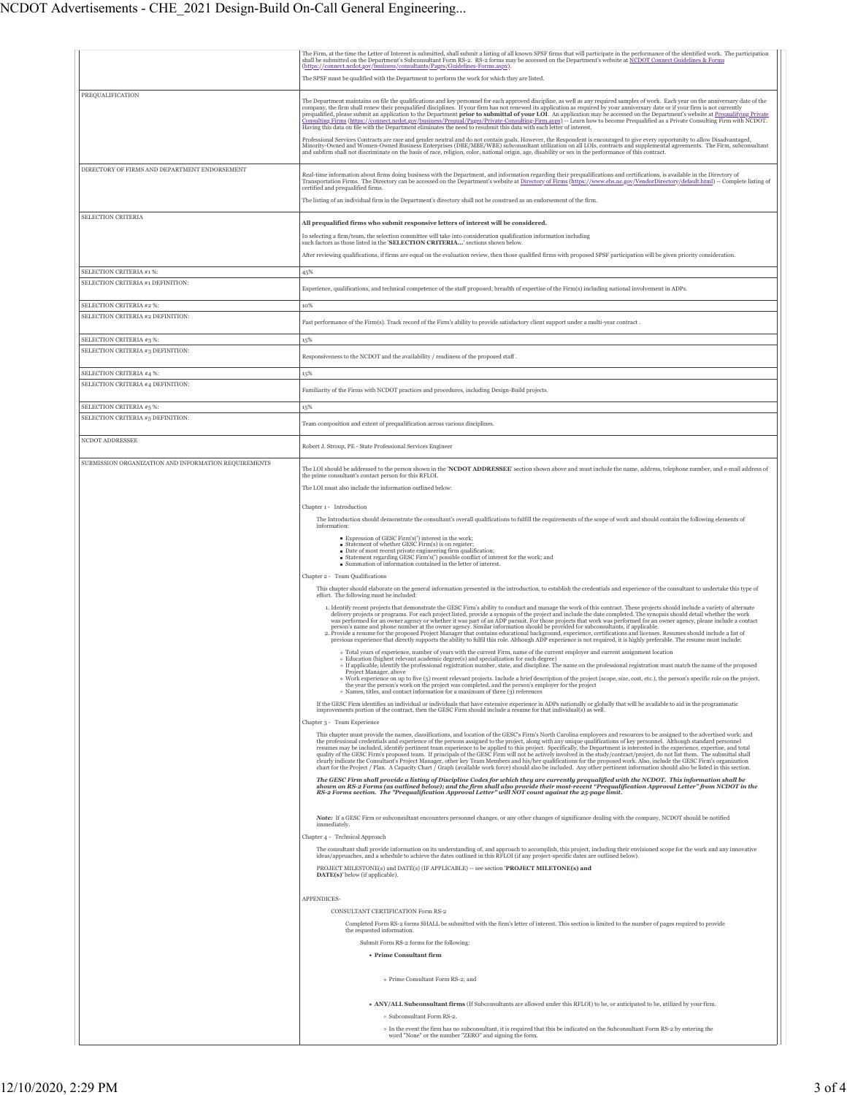|                                                               | The Firm, at the time the Letter of Interest is submitted, shall submit a listing of all known SPSF firms that will participate in the performance of the identified work. The participation<br>shall be submitted on the Department's Subconsultant Form RS-2. RS-2 forms may be accessed on the Department's website at NCDOT Connect Guidelines & Forms<br>(https://connect.ncdot.gov/business/consultants/Pages/Guidelines-Forms.aspx).                                                                                                                                                                                                                                                                                                                                                                                                                                                                                                                                                                    |
|---------------------------------------------------------------|----------------------------------------------------------------------------------------------------------------------------------------------------------------------------------------------------------------------------------------------------------------------------------------------------------------------------------------------------------------------------------------------------------------------------------------------------------------------------------------------------------------------------------------------------------------------------------------------------------------------------------------------------------------------------------------------------------------------------------------------------------------------------------------------------------------------------------------------------------------------------------------------------------------------------------------------------------------------------------------------------------------|
|                                                               | The SPSF must be qualified with the Department to perform the work for which they are listed.                                                                                                                                                                                                                                                                                                                                                                                                                                                                                                                                                                                                                                                                                                                                                                                                                                                                                                                  |
| PREQUALIFICATION                                              | The Department maintains on file the qualifications and key personnel for each approved discipline, as well as any required samples of work. Each year on the anniversary date of the<br>company, the firm shall renew their prequalified disciplines. If your firm has not renewed its application as required by your anniversary date or if your firm is not currently prequalified, please submit an application to<br>Consulting Firms (https://connect.ncdot.gov/business/Prequal/Pages/Private-Consulting-Firm.aspx) -- Learn how to become Prequalified as a Private Consulting Firm with NCDOT.<br>Having this data on file with the Department eliminates the need to resubmit this data with each letter of interest.                                                                                                                                                                                                                                                                               |
|                                                               | Professional Services Contracts are race and gender neutral and do not contain goals. However, the Respondent is encouraged to give every opportunity to allow Disadvantaged,<br>Minority-Owned and Women-Owned Business Enterprises (DBE/MBE/WBE) subconsultant utilization on all LOIs, contracts and supplemental agreements. The Firm, subconsultant<br>and subfirm shall not discriminate on the basis of race, religion, color, national origin, age, disability or sex in the performance of this contract.                                                                                                                                                                                                                                                                                                                                                                                                                                                                                             |
| DIRECTORY OF FIRMS AND DEPARTMENT ENDORSEMENT                 | Real-time information about firms doing business with the Department, and information regarding their prequalifications and certifications, is available in the Directory of<br>Transportation Firms. The Directory can be accessed on the Department's website at Directory of Firms (https://www.ebs.nc.gov/VendorDirectory/default.html) -- Complete listing of<br>certified and prequalified firms.<br>The listing of an individual firm in the Department's directory shall not be construed as an endorsement of the firm.                                                                                                                                                                                                                                                                                                                                                                                                                                                                               |
| <b>SELECTION CRITERIA</b>                                     |                                                                                                                                                                                                                                                                                                                                                                                                                                                                                                                                                                                                                                                                                                                                                                                                                                                                                                                                                                                                                |
|                                                               | All prequalified firms who submit responsive letters of interest will be considered.<br>In selecting a firm/team, the selection committee will take into consideration qualification information including<br>such factors as those listed in the 'SELECTION CRITERIA' sections shown below                                                                                                                                                                                                                                                                                                                                                                                                                                                                                                                                                                                                                                                                                                                    |
|                                                               | After reviewing qualifications, if firms are equal on the evaluation review, then those qualified firms with proposed SPSF participation will be given priority consideration.                                                                                                                                                                                                                                                                                                                                                                                                                                                                                                                                                                                                                                                                                                                                                                                                                                 |
| SELECTION CRITERIA #1 %:<br>SELECTION CRITERIA #1 DEFINITION: | 45%                                                                                                                                                                                                                                                                                                                                                                                                                                                                                                                                                                                                                                                                                                                                                                                                                                                                                                                                                                                                            |
|                                                               | Experience, qualifications, and technical competence of the staff proposed; breadth of expertise of the Firm(s) including national involvement in ADPs.                                                                                                                                                                                                                                                                                                                                                                                                                                                                                                                                                                                                                                                                                                                                                                                                                                                        |
| SELECTION CRITERIA #2 %:<br>SELECTION CRITERIA #2 DEFINITION: | 10%                                                                                                                                                                                                                                                                                                                                                                                                                                                                                                                                                                                                                                                                                                                                                                                                                                                                                                                                                                                                            |
|                                                               | Past performance of the Firm(s). Track record of the Firm's ability to provide satisfactory client support under a multi-year contract.                                                                                                                                                                                                                                                                                                                                                                                                                                                                                                                                                                                                                                                                                                                                                                                                                                                                        |
| SELECTION CRITERIA #3 %:                                      | 15%                                                                                                                                                                                                                                                                                                                                                                                                                                                                                                                                                                                                                                                                                                                                                                                                                                                                                                                                                                                                            |
| SELECTION CRITERIA #3 DEFINITION:                             | Responsiveness to the NCDOT and the availability / readiness of the proposed staff.                                                                                                                                                                                                                                                                                                                                                                                                                                                                                                                                                                                                                                                                                                                                                                                                                                                                                                                            |
| SELECTION CRITERIA #4 %:                                      | 15%                                                                                                                                                                                                                                                                                                                                                                                                                                                                                                                                                                                                                                                                                                                                                                                                                                                                                                                                                                                                            |
| SELECTION CRITERIA #4 DEFINITION:                             | Familiarity of the Firms with NCDOT practices and procedures, including Design-Build projects.                                                                                                                                                                                                                                                                                                                                                                                                                                                                                                                                                                                                                                                                                                                                                                                                                                                                                                                 |
| SELECTION CRITERIA #5 %:                                      | 15%                                                                                                                                                                                                                                                                                                                                                                                                                                                                                                                                                                                                                                                                                                                                                                                                                                                                                                                                                                                                            |
| SELECTION CRITERIA #5 DEFINITION:<br>NCDOT ADDRESSEE          | Team composition and extent of prequalification across various disciplines.                                                                                                                                                                                                                                                                                                                                                                                                                                                                                                                                                                                                                                                                                                                                                                                                                                                                                                                                    |
|                                                               | Robert J. Stroup, PE - State Professional Services Engineer                                                                                                                                                                                                                                                                                                                                                                                                                                                                                                                                                                                                                                                                                                                                                                                                                                                                                                                                                    |
| SUBMISSION ORGANIZATION AND INFORMATION REQUIREMENTS          | The LOI should be addressed to the person shown in the 'NCDOT ADDRESSEE' section shown above and must include the name, address, telephone number, and e-mail address of<br>the prime consultant's contact person for this RFLOI.<br>The LOI must also include the information outlined below:                                                                                                                                                                                                                                                                                                                                                                                                                                                                                                                                                                                                                                                                                                                 |
|                                                               | Chapter 1 - Introduction<br>The Introduction should demonstrate the consultant's overall qualifications to fulfill the requirements of the scope of work and should contain the following elements of                                                                                                                                                                                                                                                                                                                                                                                                                                                                                                                                                                                                                                                                                                                                                                                                          |
|                                                               | information:<br>Expression of GESC Firm's(') interest in the work;                                                                                                                                                                                                                                                                                                                                                                                                                                                                                                                                                                                                                                                                                                                                                                                                                                                                                                                                             |
|                                                               | Statement of whether GESC Firm(s) is on register;<br>Date of most recent private engineering firm qualification;<br>Statement regarding GESC Firm's(') possible conflict of interest for the work; and<br>Summation of information contained in the letter of interest.                                                                                                                                                                                                                                                                                                                                                                                                                                                                                                                                                                                                                                                                                                                                        |
|                                                               | Chapter 2 - Team Qualifications<br>This chapter should elaborate on the general information presented in the introduction, to establish the credentials and experience of the consultant to undertake this type of<br>effort. The following must be included:                                                                                                                                                                                                                                                                                                                                                                                                                                                                                                                                                                                                                                                                                                                                                  |
|                                                               | 1. Identify recent projects that demonstrate the GESC Firm's ability to conduct and manage the work of this contract. These projects should include a variety of alternate<br>delivery projects or programs. For each project listed, provide a synopsis of the project and include the date completed. The synopsis should detail whether the work<br>was performed for an owner agency or whether it was part of an ADP pursuit. For those projects that work was performed for an owner agency, please include a contact<br>person's name and phone number at the owner agency. Similar information should be provided for subconsultants, if applicable.<br>2. Provide a resume for the proposed Project Manager that contains educational background, experience, certifications and licenses. Resumes should include a list of<br>previous experience that directly supports the ability to fulfil this role. Although ADP experience is not required, it is highly preferable. The resume must include: |
|                                                               | o Total years of experience, number of years with the current Firm, name of the current employer and current assignment location<br>o Education (highest relevant academic degree(s) and specialization for each degree)<br>name on the professional registration must match the name of the proposed<br>• If applicable, identify the professional registration number, state, and discipline. The                                                                                                                                                                                                                                                                                                                                                                                                                                                                                                                                                                                                            |
|                                                               | Project Manager, above<br>· Work experience on up to five (5) recent relevant projects. Include a brief description of the project (scope, size, cost, etc.), the person's specific role on the project,<br>the year the person's work on the project was completed, and the person's employer for the project<br>• Names, titles, and contact information for a maximum of three (3) references                                                                                                                                                                                                                                                                                                                                                                                                                                                                                                                                                                                                               |
|                                                               | If the GESC Firm identifies an individual or individuals that have extensive experience in ADPs nationally or globally that will be available to aid in the programmatic<br>improvements portion of the contract, then the GESC Firm should include a resume for that individual(s) as well.                                                                                                                                                                                                                                                                                                                                                                                                                                                                                                                                                                                                                                                                                                                   |
|                                                               | Chapter 3 - Team Experience<br>This chapter must provide the names, classifications, and location of the GESC's Firm's North Carolina employees and resources to be assigned to the advertised work; and                                                                                                                                                                                                                                                                                                                                                                                                                                                                                                                                                                                                                                                                                                                                                                                                       |
|                                                               | the professional credentials and experience of the persons assigned to the project, along with any unique qualifications of key personnel. Although standard personnel<br>resumes may be included, identify pertinent team experience to be applied to this project. Specifically, the Department is interested in the experience, expertise, and total quality of the GESC Firm's proposed team. If pri<br>clearly indicate the Consultant's Project Manager, other key Team Members and his/her qualifications for the proposed work. Also, include the GESC Firm's organization clearly indicate the Consultant's Project Manager, othe<br>chart for the Project / Plan. A Capacity Chart / Graph (available work force) should also be included. Any other pertinent information should also be listed in this section.                                                                                                                                                                                    |
|                                                               | The GESC Firm shall provide a listing of Discipline Codes for which they are currently prequalified with the NCDOT. This information shall be<br>shown on RS-2 Forms (as outlined below); and the firm shall also provide their most-recent "Prequalification Approval Letter" from NCDOT in the<br>RS-2 Forms section. The "Prequalification Approval Letter" will NOT count against the 25-page limit.                                                                                                                                                                                                                                                                                                                                                                                                                                                                                                                                                                                                       |
|                                                               | Note: If a GESC Firm or subconsultant encounters personnel changes, or any other changes of significance dealing with the company, NCDOT should be notified<br>immediately.<br>Chapter 4 - Technical Approach                                                                                                                                                                                                                                                                                                                                                                                                                                                                                                                                                                                                                                                                                                                                                                                                  |
|                                                               | The consultant shall provide information on its understanding of, and approach to accomplish, this project, including their envisioned scope for the work and any innovative<br>ideas/approaches, and a schedule to achieve the dates outlined in this RFLOI (if any project-specific dates are outlined below).<br>PROJECT MILESTONE(s) and DATE(s) (IF APPLICABLE) -- see section 'PROJECT MILETONE(s) and<br>DATE(s)' below (if applicable).                                                                                                                                                                                                                                                                                                                                                                                                                                                                                                                                                                |
|                                                               | APPENDICES-                                                                                                                                                                                                                                                                                                                                                                                                                                                                                                                                                                                                                                                                                                                                                                                                                                                                                                                                                                                                    |
|                                                               | CONSULTANT CERTIFICATION Form RS-2                                                                                                                                                                                                                                                                                                                                                                                                                                                                                                                                                                                                                                                                                                                                                                                                                                                                                                                                                                             |
|                                                               | Completed Form RS-2 forms SHALL be submitted with the firm's letter of interest. This section is limited to the number of pages required to provide<br>the requested information.                                                                                                                                                                                                                                                                                                                                                                                                                                                                                                                                                                                                                                                                                                                                                                                                                              |
|                                                               | Submit Form RS-2 forms for the following:                                                                                                                                                                                                                                                                                                                                                                                                                                                                                                                                                                                                                                                                                                                                                                                                                                                                                                                                                                      |
|                                                               | • Prime Consultant firm                                                                                                                                                                                                                                                                                                                                                                                                                                                                                                                                                                                                                                                                                                                                                                                                                                                                                                                                                                                        |
|                                                               | o Prime Consultant Form RS-2; and                                                                                                                                                                                                                                                                                                                                                                                                                                                                                                                                                                                                                                                                                                                                                                                                                                                                                                                                                                              |
|                                                               | . ANY/ALL Subconsultant firms (If Subconsultants are allowed under this RFLOI) to be, or anticipated to be, utilized by your firm.                                                                                                                                                                                                                                                                                                                                                                                                                                                                                                                                                                                                                                                                                                                                                                                                                                                                             |
|                                                               | · Subconsultant Form RS-2.<br>o In the event the firm has no subconsultant, it is required that this be indicated on the Subconsultant Form RS-2 by entering the                                                                                                                                                                                                                                                                                                                                                                                                                                                                                                                                                                                                                                                                                                                                                                                                                                               |
|                                                               | word "None" or the number "ZERO" and signing the form.                                                                                                                                                                                                                                                                                                                                                                                                                                                                                                                                                                                                                                                                                                                                                                                                                                                                                                                                                         |